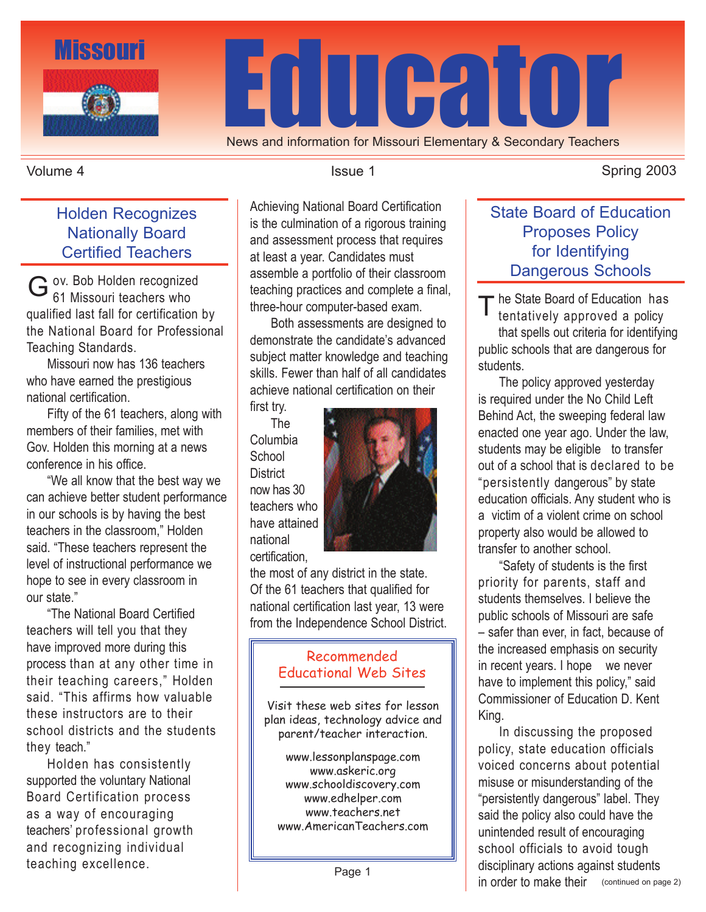

News and information for Missouri Elementary & Secondary Teachers

#### Volume 4

### Holden Recognizes Nationally Board Certified Teachers

ov. Bob Holden recognized G ov. Bob Holden recognized<br>61 Missouri teachers who qualified last fall for certification by the National Board for Professional Teaching Standards.

 Missouri now has 136 teachers who have earned the prestigious national certification.

 Fifty of the 61 teachers, along with members of their families, met with Gov. Holden this morning at a news conference in his office.

 "We all know that the best way we can achieve better student performance in our schools is by having the best teachers in the classroom," Holden said. "These teachers represent the level of instructional performance we hope to see in every classroom in our state."

 "The National Board Certified teachers will tell you that they have improved more during this process than at any other time in their teaching careers," Holden said. "This affirms how valuable these instructors are to their school districts and the students they teach."

 Holden has consistently supported the voluntary National Board Certification process as a way of encouraging teachers' professional growth and recognizing individual teaching excellence.

Achieving National Board Certification is the culmination of a rigorous training and assessment process that requires at least a year. Candidates must assemble a portfolio of their classroom teaching practices and complete a final, three-hour computer-based exam.

 Both assessments are designed to demonstrate the candidate's advanced subject matter knowledge and teaching skills. Fewer than half of all candidates achieve national certification on their

first try. The Columbia **School District** now has 30 teachers who have attained national certification,



the most of any district in the state. Of the 61 teachers that qualified for national certification last year, 13 were from the Independence School District.

#### Recommended Educational Web Sites

Visit these web sites for lesson plan ideas, technology advice and parent/teacher interaction.

www.lessonplanspage.com www.askeric.org www.schooldiscovery.com www.edhelper.com www.teachers.net www.AmericanTeachers.com

Issue 1 Spring 2003

## State Board of Education Proposes Policy for Identifying Dangerous Schools

The State Board of Education has<br>
tentatively approved a policy tentatively approved a policy that spells out criteria for identifying public schools that are dangerous for students.

 The policy approved yesterday is required under the No Child Left Behind Act, the sweeping federal law enacted one year ago. Under the law, students may be eligible to transfer out of a school that is declared to be "persistently dangerous" by state education officials. Any student who is a victim of a violent crime on school property also would be allowed to transfer to another school.

 "Safety of students is the first priority for parents, staff and students themselves. I believe the public schools of Missouri are safe – safer than ever, in fact, because of the increased emphasis on security in recent years. I hope we never have to implement this policy," said Commissioner of Education D. Kent King.

 In discussing the proposed policy, state education officials voiced concerns about potential misuse or misunderstanding of the "persistently dangerous" label. They said the policy also could have the unintended result of encouraging school officials to avoid tough disciplinary actions against students in order to make their (continued on page 2)

Page 1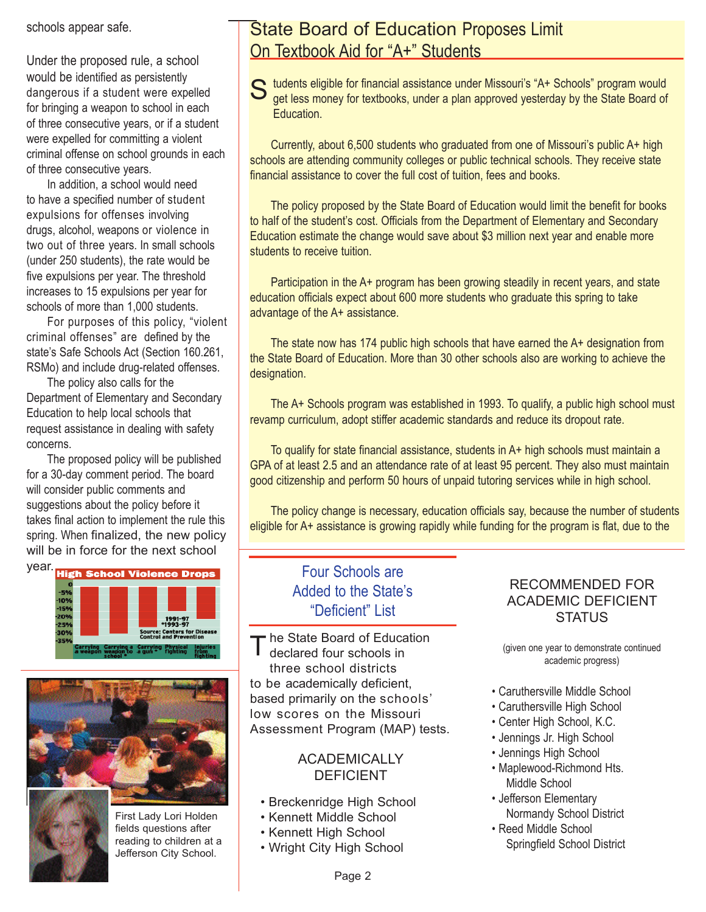schools appear safe.

Under the proposed rule, a school would be identified as persistently dangerous if a student were expelled for bringing a weapon to school in each of three consecutive years, or if a student were expelled for committing a violent criminal offense on school grounds in each of three consecutive years.

 In addition, a school would need to have a specified number of student expulsions for offenses involving drugs, alcohol, weapons or violence in two out of three years. In small schools (under 250 students), the rate would be five expulsions per year. The threshold increases to 15 expulsions per year for schools of more than 1,000 students.

 For purposes of this policy, "violent criminal offenses" are defined by the state's Safe Schools Act (Section 160.261, RSMo) and include drug-related offenses.

 The policy also calls for the Department of Elementary and Secondary Education to help local schools that request assistance in dealing with safety concerns.

 The proposed policy will be published for a 30-day comment period. The board will consider public comments and suggestions about the policy before it takes final action to implement the rule this spring. When finalized, the new policy will be in force for the next school







First Lady Lori Holden fields questions after reading to children at a Jefferson City School.

## State Board of Education Proposes Limit On Textbook Aid for "A+" Students

S tudents eligible for financial assistance under Missouri's "A+ Schools" program would<br>get less money for textbooks, under a plan approved yesterday by the State Board of get less money for textbooks, under a plan approved yesterday by the State Board of **Education** 

 Currently, about 6,500 students who graduated from one of Missouri's public A+ high schools are attending community colleges or public technical schools. They receive state financial assistance to cover the full cost of tuition, fees and books.

 The policy proposed by the State Board of Education would limit the benefit for books to half of the student's cost. Officials from the Department of Elementary and Secondary Education estimate the change would save about \$3 million next year and enable more students to receive tuition.

 Participation in the A+ program has been growing steadily in recent years, and state education officials expect about 600 more students who graduate this spring to take advantage of the A+ assistance.

 The state now has 174 public high schools that have earned the A+ designation from the State Board of Education. More than 30 other schools also are working to achieve the designation.

 The A+ Schools program was established in 1993. To qualify, a public high school must revamp curriculum, adopt stiffer academic standards and reduce its dropout rate.

To qualify for state financial assistance, students in  $A+$  high schools must maintain a GPA of at least 2.5 and an attendance rate of at least 95 percent. They also must maintain good citizenship and perform 50 hours of unpaid tutoring services while in high school.

 The policy change is necessary, education officials say, because the number of students eligible for A+ assistance is growing rapidly while funding for the program is flat, due to the

## Four Schools are Added to the State's "Deficient" List

he State Board of Education declared four schools in three school districts to be academically deficient, based primarily on the schools' low scores on the Missouri Assessment Program (MAP) tests. T

#### **ACADEMICALLY** DEFICIENT

- Breckenridge High School
- Kennett Middle School
- Kennett High School
- Wright City High School

#### RECOMMENDED FOR ACADEMIC DEFICIENT **STATUS**

(given one year to demonstrate continued academic progress)

- Caruthersville Middle School
- Caruthersville High School
- Center High School, K.C.
- Jennings Jr. High School
- Jennings High School
- Maplewood-Richmond Hts. Middle School
- Jefferson Elementary Normandy School District
- Reed Middle School Springfield School District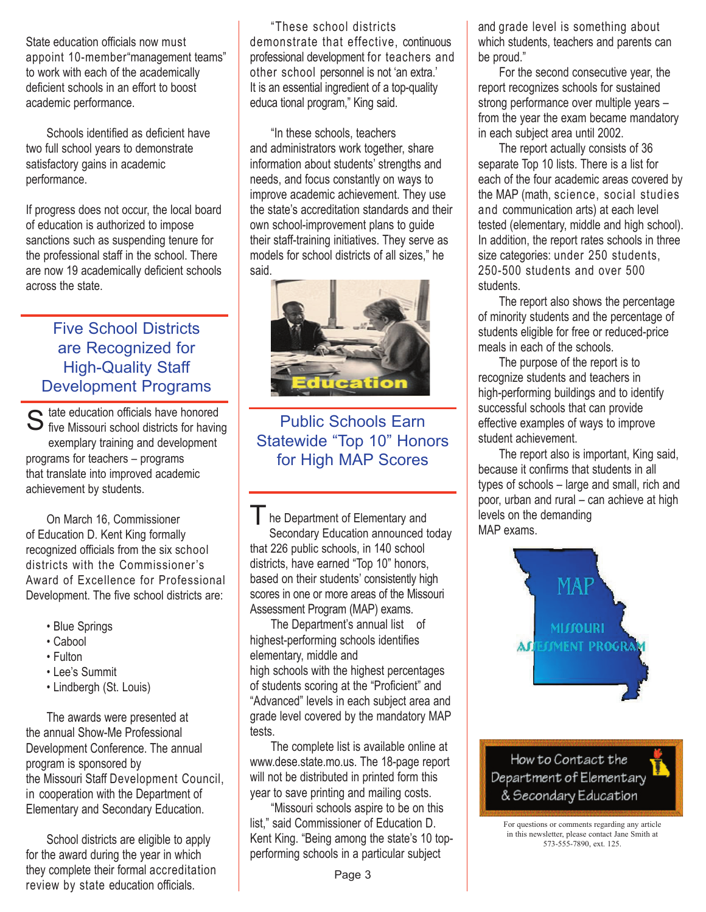State education officials now must appoint 10-member"management teams" to work with each of the academically deficient schools in an effort to boost academic performance.

 Schools identified as deficient have two full school years to demonstrate satisfactory gains in academic performance.

If progress does not occur, the local board of education is authorized to impose sanctions such as suspending tenure for the professional staff in the school. There are now 19 academically deficient schools across the state.

## Five School Districts are Recognized for High-Quality Staff Development Programs

tate education officials have honored S tate education officials have honored<br>S five Missouri school districts for having exemplary training and development programs for teachers – programs that translate into improved academic achievement by students.

 On March 16, Commissioner of Education D. Kent King formally recognized officials from the six school districts with the Commissioner's Award of Excellence for Professional Development. The five school districts are:

- Blue Springs
- Cabool
- Fulton
- Lee's Summit
- Lindbergh (St. Louis)

 The awards were presented at the annual Show-Me Professional Development Conference. The annual program is sponsored by the Missouri Staff Development Council, in cooperation with the Department of Elementary and Secondary Education.

 School districts are eligible to apply for the award during the year in which they complete their formal accreditation review by state education officials.

 "These school districts demonstrate that effective, continuous professional development for teachers and other school personnel is not 'an extra.' It is an essential ingredient of a top-quality educa tional program," King said.

 "In these schools, teachers and administrators work together, share information about students' strengths and needs, and focus constantly on ways to improve academic achievement. They use the state's accreditation standards and their own school-improvement plans to guide their staff-training initiatives. They serve as models for school districts of all sizes," he said.



Public Schools Earn Statewide "Top 10" Honors for High MAP Scores

l.

The Department of Elementary and Secondary Education announced today that 226 public schools, in 140 school districts, have earned "Top 10" honors, based on their students' consistently high scores in one or more areas of the Missouri Assessment Program (MAP) exams.

 The Department's annual list of highest-performing schools identifies elementary, middle and high schools with the highest percentages of students scoring at the "Proficient" and "Advanced" levels in each subject area and grade level covered by the mandatory MAP tests.

 The complete list is available online at www.dese.state.mo.us. The 18-page report will not be distributed in printed form this year to save printing and mailing costs.

 "Missouri schools aspire to be on this list," said Commissioner of Education D. Kent King. "Being among the state's 10 topperforming schools in a particular subject

Page 3

and grade level is something about which students, teachers and parents can be proud."

 For the second consecutive year, the report recognizes schools for sustained strong performance over multiple years – from the year the exam became mandatory in each subject area until 2002.

 The report actually consists of 36 separate Top 10 lists. There is a list for each of the four academic areas covered by the MAP (math, science, social studies and communication arts) at each level tested (elementary, middle and high school). In addition, the report rates schools in three size categories: under 250 students, 250-500 students and over 500 students.

 The report also shows the percentage of minority students and the percentage of students eligible for free or reduced-price meals in each of the schools.

 The purpose of the report is to recognize students and teachers in high-performing buildings and to identify successful schools that can provide effective examples of ways to improve student achievement.

 The report also is important, King said, because it confirms that students in all types of schools – large and small, rich and poor, urban and rural – can achieve at high levels on the demanding MAP exams.



How to Contact the Department of Elementary & Secondary Education

For questions or comments regarding any article in this newsletter, please contact Jane Smith at 573-555-7890, ext. 125.